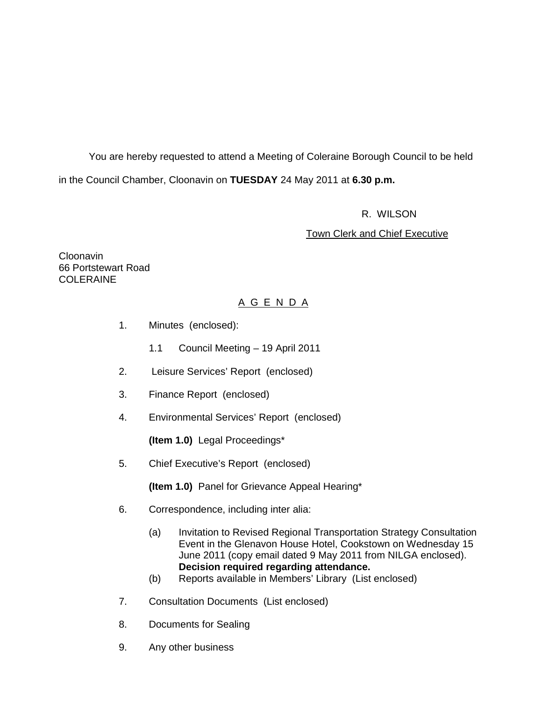You are hereby requested to attend a Meeting of Coleraine Borough Council to be held in the Council Chamber, Cloonavin on **TUESDAY** 24 May 2011 at **6.30 p.m.** 

#### R. WILSON

#### Town Clerk and Chief Executive

Cloonavin 66 Portstewart Road **COLERAINE** 

### A G E N D A

- 1. Minutes (enclosed):
	- 1.1 Council Meeting 19 April 2011
- 2. Leisure Services' Report (enclosed)
- 3. Finance Report (enclosed)
- 4. Environmental Services' Report (enclosed)

**(Item 1.0)** Legal Proceedings\*

5. Chief Executive's Report (enclosed)

**(Item 1.0)** Panel for Grievance Appeal Hearing\*

- 6. Correspondence, including inter alia:
	- (a) Invitation to Revised Regional Transportation Strategy Consultation Event in the Glenavon House Hotel, Cookstown on Wednesday 15 June 2011 (copy email dated 9 May 2011 from NILGA enclosed). **Decision required regarding attendance.**
	- (b) Reports available in Members' Library (List enclosed)
- 7. Consultation Documents (List enclosed)
- 8. Documents for Sealing
- 9. Any other business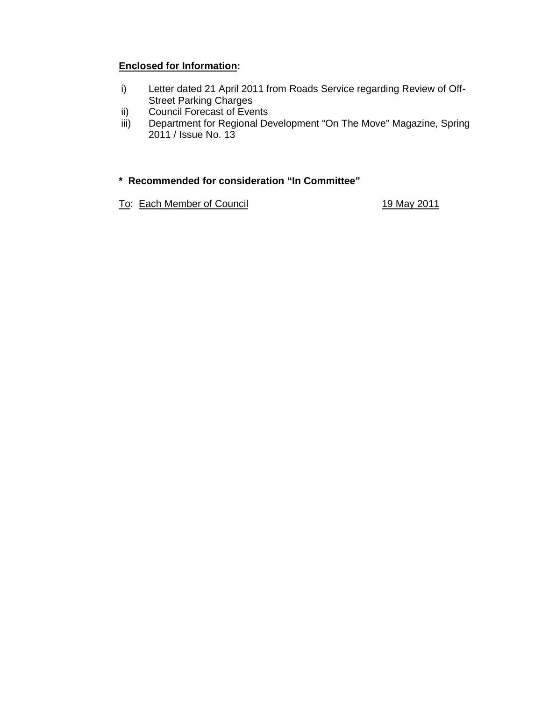# **Enclosed for Information:**

- i) Letter dated 21 April 2011 from Roads Service regarding Review of Off-Street Parking Charges
- ii) Council Forecast of Events
- iii) Department for Regional Development "On The Move" Magazine, Spring 2011 / Issue No. 13

### **\* Recommended for consideration "In Committee"**

To: Each Member of Council **19 May 2011**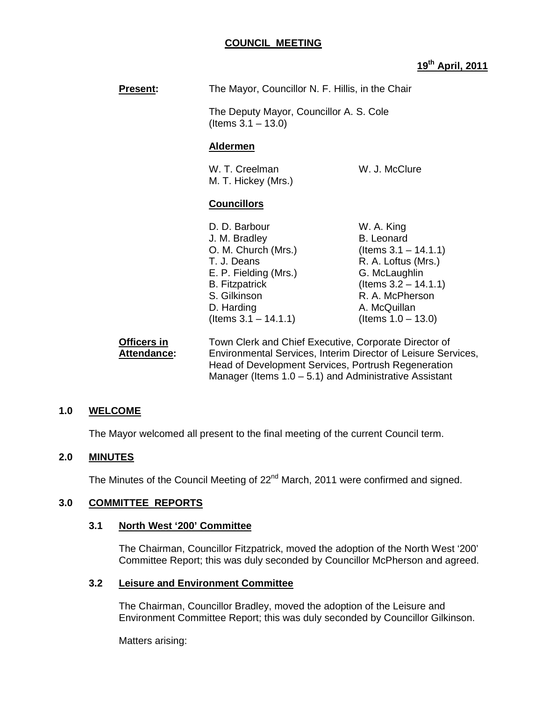#### **COUNCIL MEETING**

### **19th April, 2011**

| <b>Present:</b>                   | The Mayor, Councillor N. F. Hillis, in the Chair<br>The Deputy Mayor, Councillor A. S. Cole<br>(Items $3.1 - 13.0$ )                                                            |                                                                                                                                                                                           |
|-----------------------------------|---------------------------------------------------------------------------------------------------------------------------------------------------------------------------------|-------------------------------------------------------------------------------------------------------------------------------------------------------------------------------------------|
|                                   |                                                                                                                                                                                 |                                                                                                                                                                                           |
|                                   | <b>Aldermen</b>                                                                                                                                                                 |                                                                                                                                                                                           |
|                                   | W. T. Creelman<br>M. T. Hickey (Mrs.)                                                                                                                                           | W. J. McClure                                                                                                                                                                             |
|                                   | <b>Councillors</b>                                                                                                                                                              |                                                                                                                                                                                           |
|                                   | D. D. Barbour<br>J. M. Bradley<br>O. M. Church (Mrs.)<br>T. J. Deans<br>E. P. Fielding (Mrs.)<br><b>B.</b> Fitzpatrick<br>S. Gilkinson<br>D. Harding<br>(Items $3.1 - 14.1.1$ ) | W. A. King<br><b>B.</b> Leonard<br>(Items $3.1 - 14.1.1$ )<br>R. A. Loftus (Mrs.)<br>G. McLaughlin<br>(Items $3.2 - 14.1.1$ )<br>R. A. McPherson<br>A. McQuillan<br>(Items $1.0 - 13.0$ ) |
| Officers in<br><b>Attendance:</b> | Town Clerk and Chief Executive, Corporate Director of<br>Environmental Services, Interim Director of Leisure Services,                                                          |                                                                                                                                                                                           |

Head of Development Services, Portrush Regeneration Manager (Items  $1.0 - 5.1$ ) and Administrative Assistant

#### **1.0 WELCOME**

The Mayor welcomed all present to the final meeting of the current Council term.

#### **2.0 MINUTES**

The Minutes of the Council Meeting of 22<sup>nd</sup> March, 2011 were confirmed and signed.

#### **3.0 COMMITTEE REPORTS**

#### **3.1 North West '200' Committee**

The Chairman, Councillor Fitzpatrick, moved the adoption of the North West '200' Committee Report; this was duly seconded by Councillor McPherson and agreed.

#### **3.2 Leisure and Environment Committee**

The Chairman, Councillor Bradley, moved the adoption of the Leisure and Environment Committee Report; this was duly seconded by Councillor Gilkinson.

Matters arising: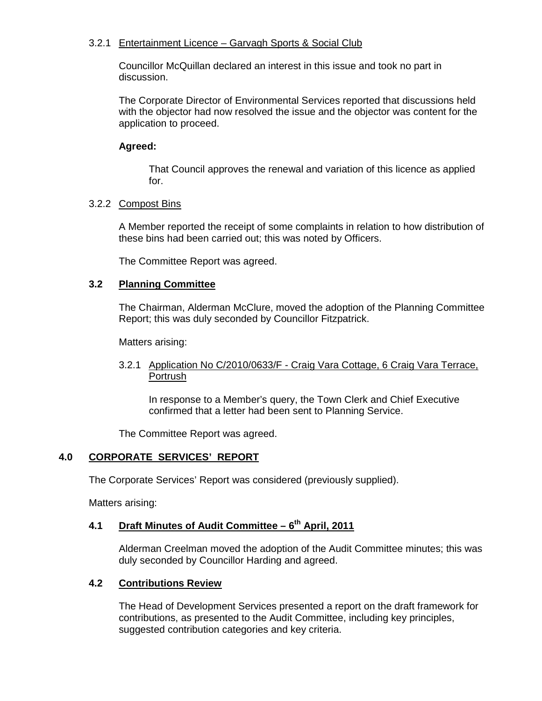#### 3.2.1 Entertainment Licence – Garvagh Sports & Social Club

 Councillor McQuillan declared an interest in this issue and took no part in discussion.

 The Corporate Director of Environmental Services reported that discussions held with the objector had now resolved the issue and the objector was content for the application to proceed.

### **Agreed:**

 That Council approves the renewal and variation of this licence as applied for.

### 3.2.2 Compost Bins

 A Member reported the receipt of some complaints in relation to how distribution of these bins had been carried out; this was noted by Officers.

The Committee Report was agreed.

### **3.2 Planning Committee**

The Chairman, Alderman McClure, moved the adoption of the Planning Committee Report; this was duly seconded by Councillor Fitzpatrick.

Matters arising:

### 3.2.1 Application No C/2010/0633/F - Craig Vara Cottage, 6 Craig Vara Terrace, Portrush

In response to a Member's query, the Town Clerk and Chief Executive confirmed that a letter had been sent to Planning Service.

The Committee Report was agreed.

### **4.0 CORPORATE SERVICES' REPORT**

The Corporate Services' Report was considered (previously supplied).

Matters arising:

# **4.1 Draft Minutes of Audit Committee – 6th April, 2011**

 Alderman Creelman moved the adoption of the Audit Committee minutes; this was duly seconded by Councillor Harding and agreed.

#### **4.2 Contributions Review**

The Head of Development Services presented a report on the draft framework for contributions, as presented to the Audit Committee, including key principles, suggested contribution categories and key criteria.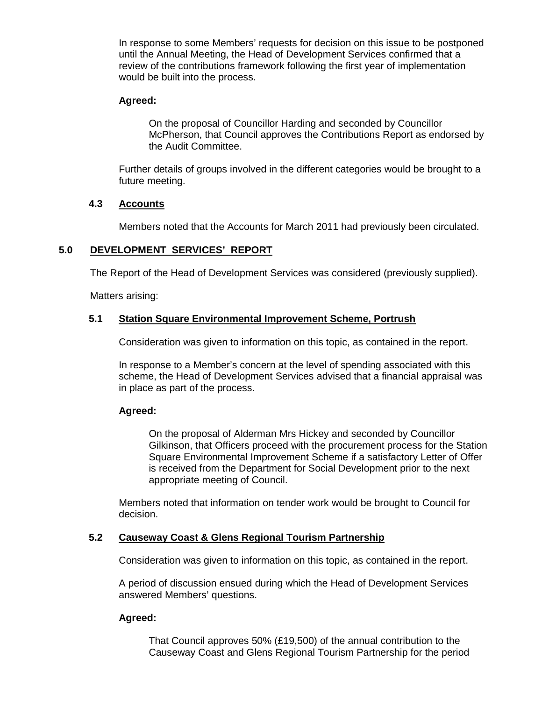In response to some Members' requests for decision on this issue to be postponed until the Annual Meeting, the Head of Development Services confirmed that a review of the contributions framework following the first year of implementation would be built into the process.

#### **Agreed:**

On the proposal of Councillor Harding and seconded by Councillor McPherson, that Council approves the Contributions Report as endorsed by the Audit Committee.

Further details of groups involved in the different categories would be brought to a future meeting.

#### **4.3 Accounts**

Members noted that the Accounts for March 2011 had previously been circulated.

#### **5.0 DEVELOPMENT SERVICES' REPORT**

The Report of the Head of Development Services was considered (previously supplied).

Matters arising:

#### **5.1 Station Square Environmental Improvement Scheme, Portrush**

Consideration was given to information on this topic, as contained in the report.

 In response to a Member's concern at the level of spending associated with this scheme, the Head of Development Services advised that a financial appraisal was in place as part of the process.

#### **Agreed:**

On the proposal of Alderman Mrs Hickey and seconded by Councillor Gilkinson, that Officers proceed with the procurement process for the Station Square Environmental Improvement Scheme if a satisfactory Letter of Offer is received from the Department for Social Development prior to the next appropriate meeting of Council.

 Members noted that information on tender work would be brought to Council for decision.

### **5.2 Causeway Coast & Glens Regional Tourism Partnership**

Consideration was given to information on this topic, as contained in the report.

A period of discussion ensued during which the Head of Development Services answered Members' questions.

#### **Agreed:**

 That Council approves 50% (£19,500) of the annual contribution to the Causeway Coast and Glens Regional Tourism Partnership for the period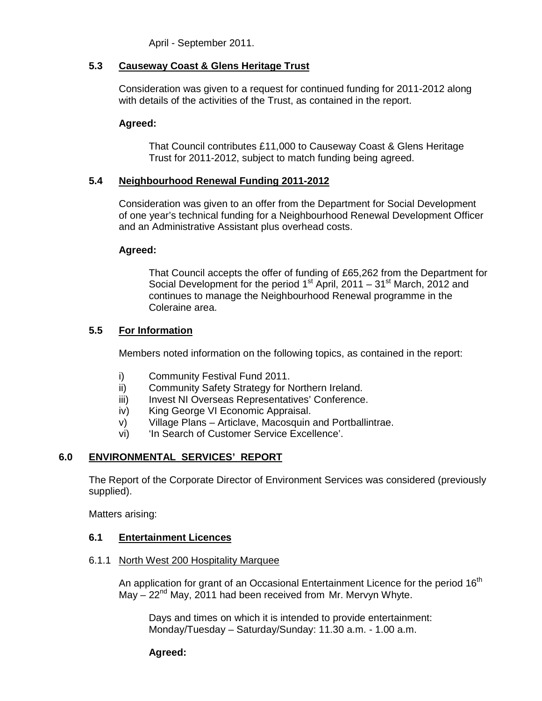April - September 2011.

### **5.3 Causeway Coast & Glens Heritage Trust**

Consideration was given to a request for continued funding for 2011-2012 along with details of the activities of the Trust, as contained in the report.

### **Agreed:**

That Council contributes £11,000 to Causeway Coast & Glens Heritage Trust for 2011-2012, subject to match funding being agreed.

### **5.4 Neighbourhood Renewal Funding 2011-2012**

 Consideration was given to an offer from the Department for Social Development of one year's technical funding for a Neighbourhood Renewal Development Officer and an Administrative Assistant plus overhead costs.

### **Agreed:**

That Council accepts the offer of funding of £65,262 from the Department for Social Development for the period  $1<sup>st</sup>$  April, 2011 – 31<sup>st</sup> March, 2012 and continues to manage the Neighbourhood Renewal programme in the Coleraine area.

### **5.5 For Information**

Members noted information on the following topics, as contained in the report:

- i) Community Festival Fund 2011.
- ii) Community Safety Strategy for Northern Ireland.
- iii) Invest NI Overseas Representatives' Conference.
- iv) King George VI Economic Appraisal.
- v) Village Plans Articlave, Macosquin and Portballintrae.
- vi) 'In Search of Customer Service Excellence'.

### **6.0 ENVIRONMENTAL SERVICES' REPORT**

 The Report of the Corporate Director of Environment Services was considered (previously supplied).

Matters arising:

### **6.1 Entertainment Licences**

6.1.1 North West 200 Hospitality Marquee

An application for grant of an Occasional Entertainment Licence for the period  $16<sup>th</sup>$ May  $-22<sup>nd</sup>$  May, 2011 had been received from Mr. Mervyn Whyte.

> Days and times on which it is intended to provide entertainment: Monday/Tuesday – Saturday/Sunday: 11.30 a.m. - 1.00 a.m.

### **Agreed:**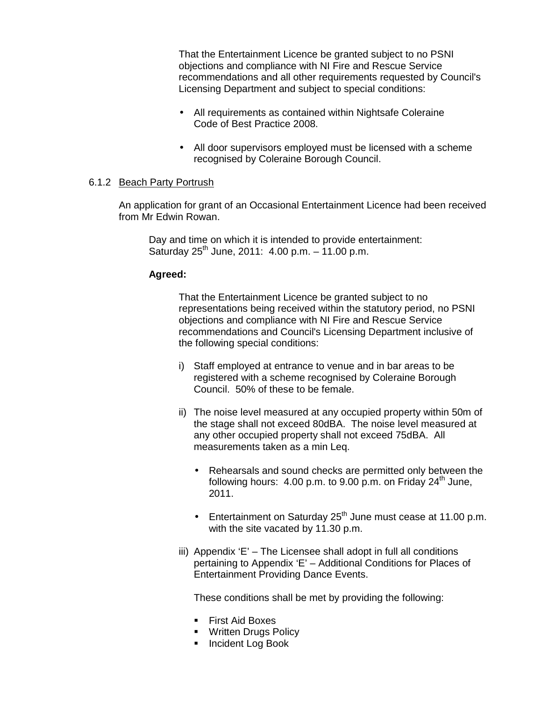That the Entertainment Licence be granted subject to no PSNI objections and compliance with NI Fire and Rescue Service recommendations and all other requirements requested by Council's Licensing Department and subject to special conditions:

- All requirements as contained within Nightsafe Coleraine Code of Best Practice 2008.
- All door supervisors employed must be licensed with a scheme recognised by Coleraine Borough Council.

#### 6.1.2 Beach Party Portrush

 An application for grant of an Occasional Entertainment Licence had been received from Mr Edwin Rowan.

 Day and time on which it is intended to provide entertainment: Saturday  $25^{th}$  June, 2011: 4.00 p.m. – 11.00 p.m.

#### **Agreed:**

That the Entertainment Licence be granted subject to no representations being received within the statutory period, no PSNI objections and compliance with NI Fire and Rescue Service recommendations and Council's Licensing Department inclusive of the following special conditions:

- i) Staff employed at entrance to venue and in bar areas to be registered with a scheme recognised by Coleraine Borough Council. 50% of these to be female.
- ii) The noise level measured at any occupied property within 50m of the stage shall not exceed 80dBA. The noise level measured at any other occupied property shall not exceed 75dBA. All measurements taken as a min Leq.
	- Rehearsals and sound checks are permitted only between the following hours:  $4.00$  p.m. to  $9.00$  p.m. on Friday  $24<sup>th</sup>$  June, 2011.
	- Entertainment on Saturday  $25<sup>th</sup>$  June must cease at 11.00 p.m. with the site vacated by 11.30 p.m.
- iii) Appendix 'E' The Licensee shall adopt in full all conditions pertaining to Appendix 'E' – Additional Conditions for Places of Entertainment Providing Dance Events.

These conditions shall be met by providing the following:

- **First Aid Boxes**
- **Written Drugs Policy**
- **Incident Log Book**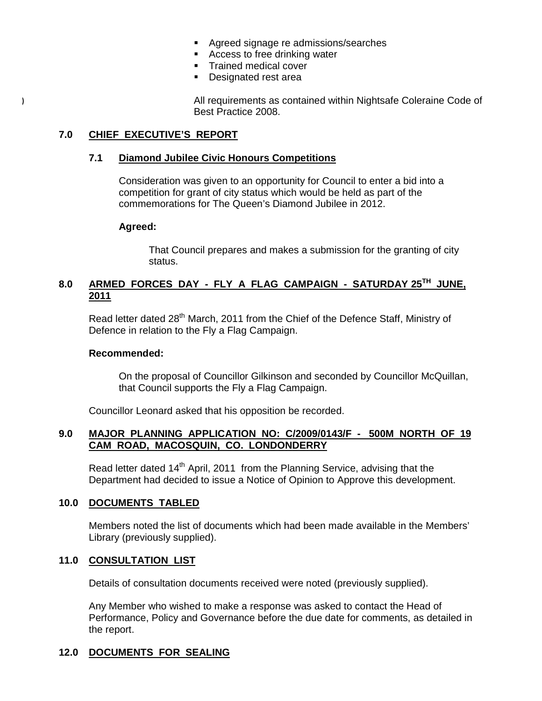- **Agreed signage re admissions/searches**
- **Access to free drinking water**
- **Trained medical cover**
- **Designated rest area**

All requirements as contained within Nightsafe Coleraine Code of Best Practice 2008.

### **7.0 CHIEF EXECUTIVE'S REPORT**

#### **7.1 Diamond Jubilee Civic Honours Competitions**

 Consideration was given to an opportunity for Council to enter a bid into a competition for grant of city status which would be held as part of the commemorations for The Queen's Diamond Jubilee in 2012.

#### **Agreed:**

That Council prepares and makes a submission for the granting of city status.

## **8.0 ARMED FORCES DAY - FLY A FLAG CAMPAIGN - SATURDAY 25TH JUNE, 2011**

Read letter dated 28<sup>th</sup> March, 2011 from the Chief of the Defence Staff, Ministry of Defence in relation to the Fly a Flag Campaign.

#### **Recommended:**

On the proposal of Councillor Gilkinson and seconded by Councillor McQuillan, that Council supports the Fly a Flag Campaign.

Councillor Leonard asked that his opposition be recorded.

#### **9.0 MAJOR PLANNING APPLICATION NO: C/2009/0143/F - 500M NORTH OF 19 CAM ROAD, MACOSQUIN, CO. LONDONDERRY**

Read letter dated 14<sup>th</sup> April, 2011 from the Planning Service, advising that the Department had decided to issue a Notice of Opinion to Approve this development.

### **10.0 DOCUMENTS TABLED**

 Members noted the list of documents which had been made available in the Members' Library (previously supplied).

### **11.0 CONSULTATION LIST**

Details of consultation documents received were noted (previously supplied).

 Any Member who wished to make a response was asked to contact the Head of Performance, Policy and Governance before the due date for comments, as detailed in the report.

### **12.0 DOCUMENTS FOR SEALING**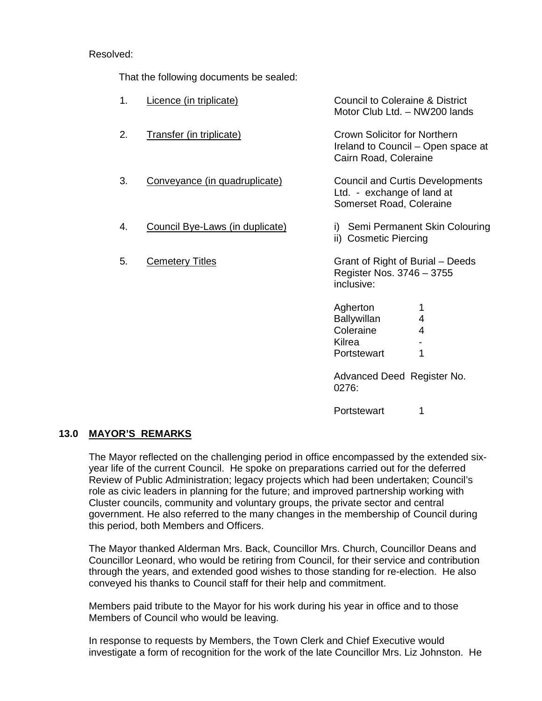### Resolved:

That the following documents be sealed:

| 1. | Licence (in triplicate)         | <b>Council to Coleraine &amp; District</b><br>Motor Club Ltd. - NW200 lands                        |  |
|----|---------------------------------|----------------------------------------------------------------------------------------------------|--|
| 2. | <b>Transfer (in triplicate)</b> | <b>Crown Solicitor for Northern</b><br>Ireland to Council – Open space at<br>Cairn Road, Coleraine |  |
| 3. | Conveyance (in quadruplicate)   | <b>Council and Curtis Developments</b><br>Ltd. - exchange of land at<br>Somerset Road, Coleraine   |  |
| 4. | Council Bye-Laws (in duplicate) | i) Semi Permanent Skin Colouring<br>ii) Cosmetic Piercing                                          |  |
| 5. | <b>Cemetery Titles</b>          | Grant of Right of Burial – Deeds<br>Register Nos. 3746 - 3755<br>inclusive:                        |  |
|    |                                 | Agherton<br><b>Ballywillan</b><br>4<br>Coleraine<br>4<br>Kilrea<br>1<br>Portstewart                |  |
|    |                                 | Advanced Dead Degister No                                                                          |  |

Advanced Deed Register No. 0276:

Portstewart 1

#### **13.0 MAYOR'S REMARKS**

The Mayor reflected on the challenging period in office encompassed by the extended sixyear life of the current Council. He spoke on preparations carried out for the deferred Review of Public Administration; legacy projects which had been undertaken; Council's role as civic leaders in planning for the future; and improved partnership working with Cluster councils, community and voluntary groups, the private sector and central government. He also referred to the many changes in the membership of Council during this period, both Members and Officers.

 The Mayor thanked Alderman Mrs. Back, Councillor Mrs. Church, Councillor Deans and Councillor Leonard, who would be retiring from Council, for their service and contribution through the years, and extended good wishes to those standing for re-election. He also conveyed his thanks to Council staff for their help and commitment.

 Members paid tribute to the Mayor for his work during his year in office and to those Members of Council who would be leaving.

 In response to requests by Members, the Town Clerk and Chief Executive would investigate a form of recognition for the work of the late Councillor Mrs. Liz Johnston. He